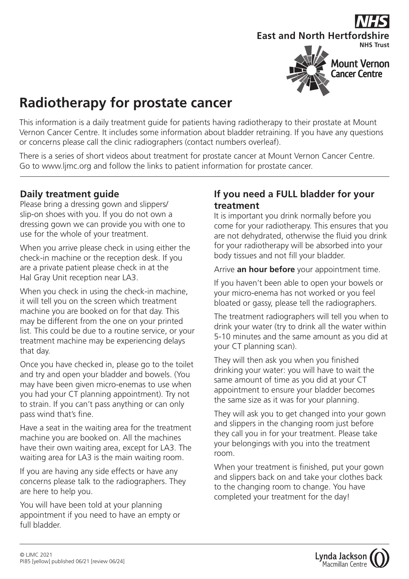# **East and North Hertfordshire NHS Trust**



## **Radiotherapy for prostate cancer**

This information is a daily treatment guide for patients having radiotherapy to their prostate at Mount Vernon Cancer Centre. It includes some information about bladder retraining. If you have any questions or concerns please call the clinic radiographers (contact numbers overleaf).

There is a series of short videos about treatment for prostate cancer at Mount Vernon Cancer Centre. Go to www.ljmc.org and follow the links to patient information for prostate cancer.

### **Daily treatment guide**

Please bring a dressing gown and slippers/ slip-on shoes with you. If you do not own a dressing gown we can provide you with one to use for the whole of your treatment.

When you arrive please check in using either the check-in machine or the reception desk. If you are a private patient please check in at the Hal Gray Unit reception near LA3.

When you check in using the check-in machine, it will tell you on the screen which treatment machine you are booked on for that day. This may be different from the one on your printed list. This could be due to a routine service, or your treatment machine may be experiencing delays that day.

Once you have checked in, please go to the toilet and try and open your bladder and bowels. (You may have been given micro-enemas to use when you had your CT planning appointment). Try not to strain. If you can't pass anything or can only pass wind that's fine.

Have a seat in the waiting area for the treatment machine you are booked on. All the machines have their own waiting area, except for LA3. The waiting area for LA3 is the main waiting room.

If you are having any side effects or have any concerns please talk to the radiographers. They are here to help you.

You will have been told at your planning appointment if you need to have an empty or full bladder.

### **If you need a FULL bladder for your treatment**

It is important you drink normally before you come for your radiotherapy. This ensures that you are not dehydrated, otherwise the fluid you drink for your radiotherapy will be absorbed into your body tissues and not fill your bladder.

Arrive **an hour before** your appointment time.

If you haven't been able to open your bowels or your micro-enema has not worked or you feel bloated or gassy, please tell the radiographers.

The treatment radiographers will tell you when to drink your water (try to drink all the water within 5-10 minutes and the same amount as you did at your CT planning scan).

They will then ask you when you finished drinking your water: you will have to wait the same amount of time as you did at your CT appointment to ensure your bladder becomes the same size as it was for your planning.

They will ask you to get changed into your gown and slippers in the changing room just before they call you in for your treatment. Please take your belongings with you into the treatment room.

When your treatment is finished, put your gown and slippers back on and take your clothes back to the changing room to change. You have completed your treatment for the day!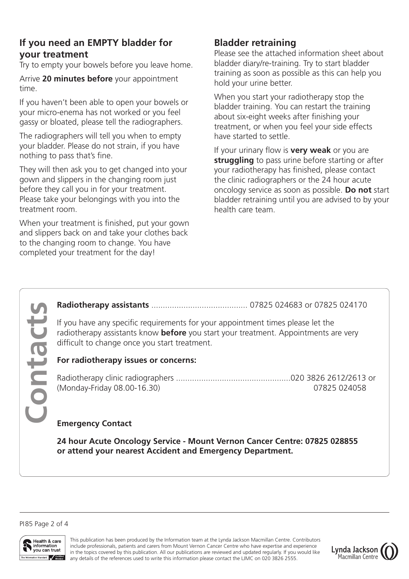### **If you need an EMPTY bladder for your treatment**

Try to empty your bowels before you leave home.

Arrive **20 minutes before** your appointment time.

If you haven't been able to open your bowels or your micro-enema has not worked or you feel gassy or bloated, please tell the radiographers.

The radiographers will tell you when to empty your bladder. Please do not strain, if you have nothing to pass that's fine.

They will then ask you to get changed into your gown and slippers in the changing room just before they call you in for your treatment. Please take your belongings with you into the treatment room.

When your treatment is finished, put your gown and slippers back on and take your clothes back to the changing room to change. You have completed your treatment for the day!

### **Bladder retraining**

Please see the attached information sheet about bladder diary/re-training. Try to start bladder training as soon as possible as this can help you hold your urine better.

When you start your radiotherapy stop the bladder training. You can restart the training about six-eight weeks after finishing your treatment, or when you feel your side effects have started to settle.

If your urinary flow is **very weak** or you are **struggling** to pass urine before starting or after your radiotherapy has finished, please contact the clinic radiographers or the 24 hour acute oncology service as soon as possible. **Do not** start bladder retraining until you are advised to by your health care team.

**Radiotherapy assistants** .......................................... 07825 024683 or 07825 024170

If you have any specific requirements for your appointment times please let the radiotherapy assistants know **before** you start your treatment. Appointments are very difficult to change once you start treatment.

#### **For radiotherapy issues or concerns:**

Radiotherapy clinic radiographers ..................................................020 3826 2612/2613 or (Monday-Friday 08.00-16.30) 07825 024058

#### **Emergency Contact**

**24 hour Acute Oncology Service - Mount Vernon Cancer Centre: 07825 028855 or attend your nearest Accident and Emergency Department.**

PI85 Page 2 of 4

**Contacts**

Contact



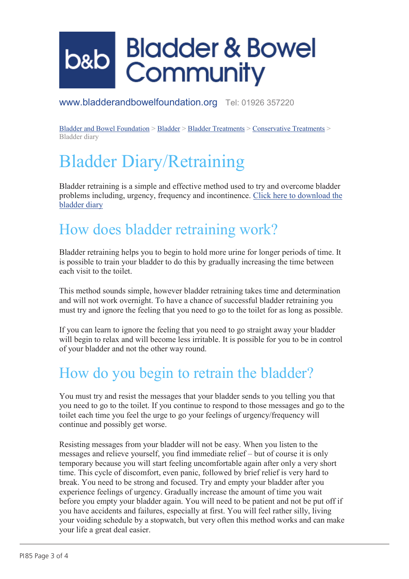# **Bladder & Bowel b&b Community**

www.bladderandbowelfoundation.org Tel: 01926 357220

Bladder and Bowel Foundation > Bladder > Bladder Treatments > Conservative Treatments > Bladder diary

# Bladder Diary/Retraining

Bladder retraining is a simple and effective method used to try and overcome bladder problems including, urgency, frequency and incontinence. Click here to download the bladder diary

### How does bladder retraining work?

Bladder retraining helps you to begin to hold more urine for longer periods of time. It is possible to train your bladder to do this by gradually increasing the time between each visit to the toilet.

This method sounds simple, however bladder retraining takes time and determination and will not work overnight. To have a chance of successful bladder retraining you must try and ignore the feeling that you need to go to the toilet for as long as possible.

If you can learn to ignore the feeling that you need to go straight away your bladder will begin to relax and will become less irritable. It is possible for you to be in control of your bladder and not the other way round.

## How do you begin to retrain the bladder?

You must try and resist the messages that your bladder sends to you telling you that you need to go to the toilet. If you continue to respond to those messages and go to the toilet each time you feel the urge to go your feelings of urgency/frequency will continue and possibly get worse.

Resisting messages from your bladder will not be easy. When you listen to the messages and relieve yourself, you find immediate relief – but of course it is only temporary because you will start feeling uncomfortable again after only a very short time. This cycle of discomfort, even panic, followed by brief relief is very hard to break. You need to be strong and focused. Try and empty your bladder after you experience feelings of urgency. Gradually increase the amount of time you wait before you empty your bladder again. You will need to be patient and not be put off if you have accidents and failures, especially at first. You will feel rather silly, living your voiding schedule by a stopwatch, but very often this method works and can make your life a great deal easier.